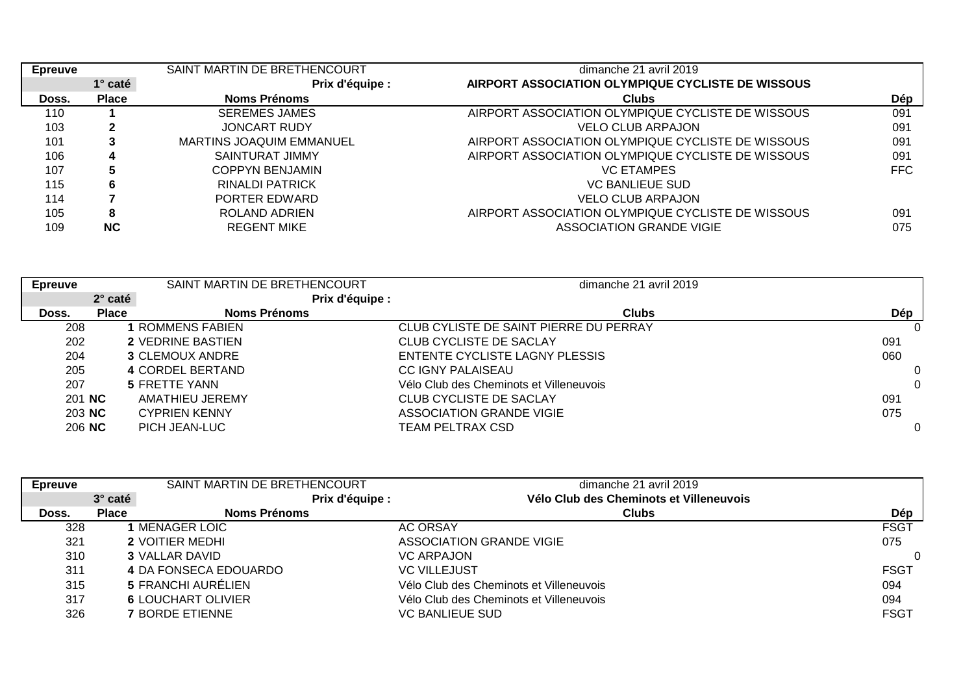| <b>Epreuve</b> |                | SAINT MARTIN DE BRETHENCOURT    | dimanche 21 avril 2019                            |            |
|----------------|----------------|---------------------------------|---------------------------------------------------|------------|
|                | $1^\circ$ caté | Prix d'équipe :                 | AIRPORT ASSOCIATION OLYMPIQUE CYCLISTE DE WISSOUS |            |
| Doss.          | <b>Place</b>   | Noms Prénoms                    | <b>Clubs</b>                                      | Dép        |
| 110            |                | <b>SEREMES JAMES</b>            | AIRPORT ASSOCIATION OLYMPIQUE CYCLISTE DE WISSOUS | 091        |
| 103            |                | JONCART RUDY                    | VELO CLUB ARPAJON                                 | 091        |
| 101            |                | <b>MARTINS JOAQUIM EMMANUEL</b> | AIRPORT ASSOCIATION OLYMPIQUE CYCLISTE DE WISSOUS | 091        |
| 106            | 4              | SAINTURAT JIMMY                 | AIRPORT ASSOCIATION OLYMPIQUE CYCLISTE DE WISSOUS | 091        |
| 107            |                | <b>COPPYN BENJAMIN</b>          | <b>VC ETAMPES</b>                                 | <b>FFC</b> |
| 115            | 6              | RINALDI PATRICK                 | <b>VC BANLIEUE SUD</b>                            |            |
| 114            |                | PORTER EDWARD                   | VELO CLUB ARPAJON                                 |            |
| 105            | 8              | ROLAND ADRIEN                   | AIRPORT ASSOCIATION OLYMPIQUE CYCLISTE DE WISSOUS | 091        |
| 109            | <b>NC</b>      | <b>REGENT MIKE</b>              | ASSOCIATION GRANDE VIGIE                          | 075        |

| <b>Epreuve</b> |              | SAINT MARTIN DE BRETHENCOURT | dimanche 21 avril 2019                  |          |
|----------------|--------------|------------------------------|-----------------------------------------|----------|
|                | 2° caté      | Prix d'équipe :              |                                         |          |
| Doss.          | <b>Place</b> | Noms Prénoms                 | <b>Clubs</b>                            | Dép      |
| 208            |              | I ROMMENS FABIEN             | CLUB CYLISTE DE SAINT PIERRE DU PERRAY  |          |
| 202            |              | <b>2 VEDRINE BASTIEN</b>     | CLUB CYCLISTE DE SACLAY                 | 091      |
| 204            |              | <b>3 CLEMOUX ANDRE</b>       | ENTENTE CYCLISTE LAGNY PLESSIS          | 060      |
| 205            |              | 4 CORDEL BERTAND             | CC IGNY PALAISEAU                       | 0        |
| 207            |              | <b>5 FRETTE YANN</b>         | Vélo Club des Cheminots et Villeneuvois | $\Omega$ |
| 201 NC         |              | AMATHIEU JEREMY              | CLUB CYCLISTE DE SACLAY                 | 091      |
| 203 NC         |              | <b>CYPRIEN KENNY</b>         | ASSOCIATION GRANDE VIGIE                | 075      |
| 206 NC         |              | PICH JEAN-LUC                | TEAM PELTRAX CSD                        | $\Omega$ |

| <b>Epreuve</b> |              | SAINT MARTIN DE BRETHENCOURT |                 | dimanche 21 avril 2019                  |             |
|----------------|--------------|------------------------------|-----------------|-----------------------------------------|-------------|
|                | 3° caté      |                              | Prix d'équipe : | Vélo Club des Cheminots et Villeneuvois |             |
| Doss.          | <b>Place</b> | <b>Noms Prénoms</b>          |                 | <b>Clubs</b>                            | Dép         |
| 328            |              | MENAGER LOIC                 |                 | <b>AC ORSAY</b>                         | <b>FSGT</b> |
| 321            |              | <b>2 VOITIER MEDHI</b>       |                 | ASSOCIATION GRANDE VIGIE                | 075         |
| 310            |              | <b>3 VALLAR DAVID</b>        |                 | <b>VC ARPAJON</b>                       | 0           |
| 311            |              | 4 DA FONSECA EDOUARDO        |                 | <b>VC VILLEJUST</b>                     | <b>FSGT</b> |
| 315            |              | 5 FRANCHI AURÉLIEN           |                 | Vélo Club des Cheminots et Villeneuvois | 094         |
| 317            |              | <b>6 LOUCHART OLIVIER</b>    |                 | Vélo Club des Cheminots et Villeneuvois | 094         |
| 326            |              | <b>7 BORDE ETIENNE</b>       |                 | <b>VC BANLIEUE SUD</b>                  | <b>FSGT</b> |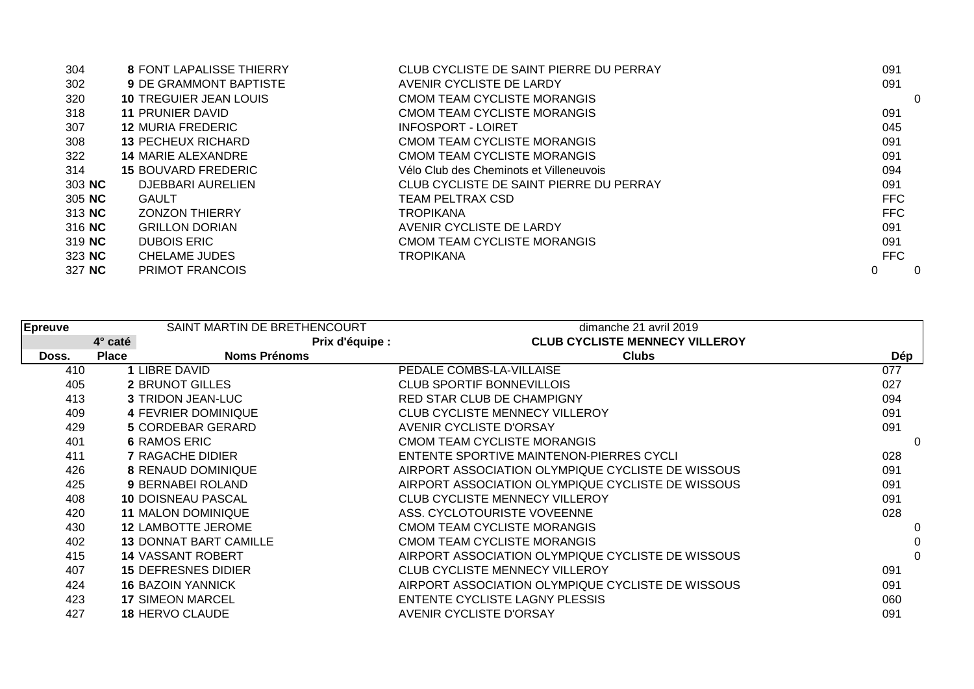| 304    | 8 FONT LAPALISSE THIERRY      | CLUB CYCLISTE DE SAINT PIERRE DU PERRAY | 091        |
|--------|-------------------------------|-----------------------------------------|------------|
| 302    | <b>9 DE GRAMMONT BAPTISTE</b> | AVENIR CYCLISTE DE LARDY                | 091        |
| 320    | <b>10 TREGUIER JEAN LOUIS</b> | CMOM TEAM CYCLISTE MORANGIS             | $\Omega$   |
| 318    | <b>11 PRUNIER DAVID</b>       | CMOM TEAM CYCLISTE MORANGIS             | 091        |
| 307    | <b>12 MURIA FREDERIC</b>      | INFOSPORT - LOIRET                      | 045        |
| 308    | <b>13 PECHEUX RICHARD</b>     | CMOM TEAM CYCLISTE MORANGIS             | 091        |
| 322    | <b>14 MARIE ALEXANDRE</b>     | CMOM TEAM CYCLISTE MORANGIS             | 091        |
| 314    | <b>15 BOUVARD FREDERIC</b>    | Vélo Club des Cheminots et Villeneuvois | 094        |
| 303 NC | <b>DJEBBARI AURELIEN</b>      | CLUB CYCLISTE DE SAINT PIERRE DU PERRAY | 091        |
| 305 NC | <b>GAULT</b>                  | TEAM PELTRAX CSD                        | <b>FFC</b> |
| 313 NC | <b>ZONZON THIERRY</b>         | TROPIKANA                               | <b>FFC</b> |
| 316 NC | <b>GRILLON DORIAN</b>         | AVENIR CYCLISTE DE LARDY                | 091        |
| 319 NC | <b>DUBOIS ERIC</b>            | CMOM TEAM CYCLISTE MORANGIS             | 091        |
| 323 NC | <b>CHELAME JUDES</b>          | TROPIKANA                               | <b>FFC</b> |
| 327 NC | <b>PRIMOT FRANCOIS</b>        |                                         | 0<br>0     |

| <b>Epreuve</b> |              | SAINT MARTIN DE BRETHENCOURT  | dimanche 21 avril 2019                            |          |
|----------------|--------------|-------------------------------|---------------------------------------------------|----------|
|                | 4° caté      | Prix d'équipe :               | <b>CLUB CYCLISTE MENNECY VILLEROY</b>             |          |
| Doss.          | <b>Place</b> | <b>Noms Prénoms</b>           | <b>Clubs</b>                                      | Dép      |
| 410            |              | LIBRE DAVID                   | PEDALE COMBS-LA-VILLAISE                          | 077      |
| 405            |              | <b>2 BRUNOT GILLES</b>        | <b>CLUB SPORTIF BONNEVILLOIS</b>                  | 027      |
| 413            |              | <b>3 TRIDON JEAN-LUC</b>      | <b>RED STAR CLUB DE CHAMPIGNY</b>                 | 094      |
| 409            |              | <b>4 FEVRIER DOMINIQUE</b>    | <b>CLUB CYCLISTE MENNECY VILLEROY</b>             | 091      |
| 429            |              | <b>5 CORDEBAR GERARD</b>      | <b>AVENIR CYCLISTE D'ORSAY</b>                    | 091      |
| 401            |              | <b>6 RAMOS ERIC</b>           | <b>CMOM TEAM CYCLISTE MORANGIS</b>                | 0        |
| 411            |              | <b>7 RAGACHE DIDIER</b>       | ENTENTE SPORTIVE MAINTENON-PIERRES CYCLI          | 028      |
| 426            |              | <b>8 RENAUD DOMINIQUE</b>     | AIRPORT ASSOCIATION OLYMPIQUE CYCLISTE DE WISSOUS | 091      |
| 425            |              | 9 BERNABEI ROLAND             | AIRPORT ASSOCIATION OLYMPIQUE CYCLISTE DE WISSOUS | 091      |
| 408            |              | <b>10 DOISNEAU PASCAL</b>     | <b>CLUB CYCLISTE MENNECY VILLEROY</b>             | 091      |
| 420            |              | <b>11 MALON DOMINIQUE</b>     | ASS. CYCLOTOURISTE VOVEENNE                       | 028      |
| 430            |              | <b>12 LAMBOTTE JEROME</b>     | CMOM TEAM CYCLISTE MORANGIS                       | 0        |
| 402            |              | <b>13 DONNAT BART CAMILLE</b> | CMOM TEAM CYCLISTE MORANGIS                       | 0        |
| 415            |              | <b>14 VASSANT ROBERT</b>      | AIRPORT ASSOCIATION OLYMPIQUE CYCLISTE DE WISSOUS | $\Omega$ |
| 407            |              | <b>15 DEFRESNES DIDIER</b>    | <b>CLUB CYCLISTE MENNECY VILLEROY</b>             | 091      |
| 424            |              | <b>16 BAZOIN YANNICK</b>      | AIRPORT ASSOCIATION OLYMPIQUE CYCLISTE DE WISSOUS | 091      |
| 423            |              | <b>17 SIMEON MARCEL</b>       | ENTENTE CYCLISTE LAGNY PLESSIS                    | 060      |
| 427            |              | <b>18 HERVO CLAUDE</b>        | <b>AVENIR CYCLISTE D'ORSAY</b>                    | 091      |